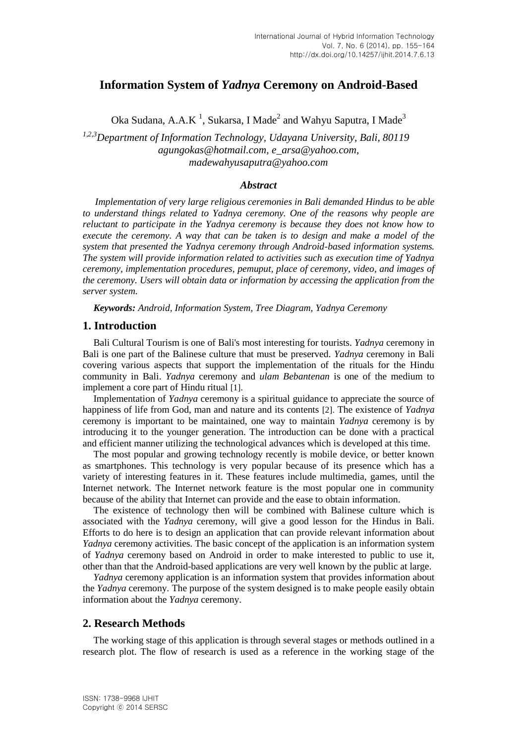# **Information System of** *Yadnya* **Ceremony on Android-Based**

Oka Sudana, A.A.K<sup>1</sup>, Sukarsa, I Made<sup>2</sup> and Wahyu Saputra, I Made<sup>3</sup>

*1,2,3Department of Information Technology, Udayana University, Bali, 80119 agungokas@hotmail.com, e\_arsa@yahoo.com, [madewahyusaputra@yahoo.com](mailto:madewahyusaputra@yahoo.com)*

#### *Abstract*

*Implementation of very large religious ceremonies in Bali demanded Hindus to be able to understand things related to Yadnya ceremony. One of the reasons why people are reluctant to participate in the Yadnya ceremony is because they does not know how to execute the ceremony. A way that can be taken is to design and make a model of the system that presented the Yadnya ceremony through Android-based information systems. The system will provide information related to activities such as execution time of Yadnya ceremony, implementation procedures, pemuput, place of ceremony, video, and images of the ceremony. Users will obtain data or information by accessing the application from the server system.*

*Keywords: Android, Information System, Tree Diagram, Yadnya Ceremony*

#### **1. Introduction**

Bali Cultural Tourism is one of Bali's most interesting for tourists. *Yadnya* ceremony in Bali is one part of the Balinese culture that must be preserved. *Yadnya* ceremony in Bali covering various aspects that support the implementation of the rituals for the Hindu community in Bali. *Yadnya* ceremony and *ulam Bebantenan* is one of the medium to implement a core part of Hindu ritual [1].

Implementation of *Yadnya* ceremony is a spiritual guidance to appreciate the source of happiness of life from God, man and nature and its contents [2]. The existence of *Yadnya* ceremony is important to be maintained, one way to maintain *Yadnya* ceremony is by introducing it to the younger generation. The introduction can be done with a practical and efficient manner utilizing the technological advances which is developed at this time.

The most popular and growing technology recently is mobile device, or better known as smartphones. This technology is very popular because of its presence which has a variety of interesting features in it. These features include multimedia, games, until the Internet network. The Internet network feature is the most popular one in community because of the ability that Internet can provide and the ease to obtain information.

The existence of technology then will be combined with Balinese culture which is associated with the *Yadnya* ceremony, will give a good lesson for the Hindus in Bali. Efforts to do here is to design an application that can provide relevant information about *Yadnya* ceremony activities. The basic concept of the application is an information system of *Yadnya* ceremony based on Android in order to make interested to public to use it, other than that the Android-based applications are very well known by the public at large.

*Yadnya* ceremony application is an information system that provides information about the *Yadnya* ceremony. The purpose of the system designed is to make people easily obtain information about the *Yadnya* ceremony.

### **2. Research Methods**

The working stage of this application is through several stages or methods outlined in a research plot. The flow of research is used as a reference in the working stage of the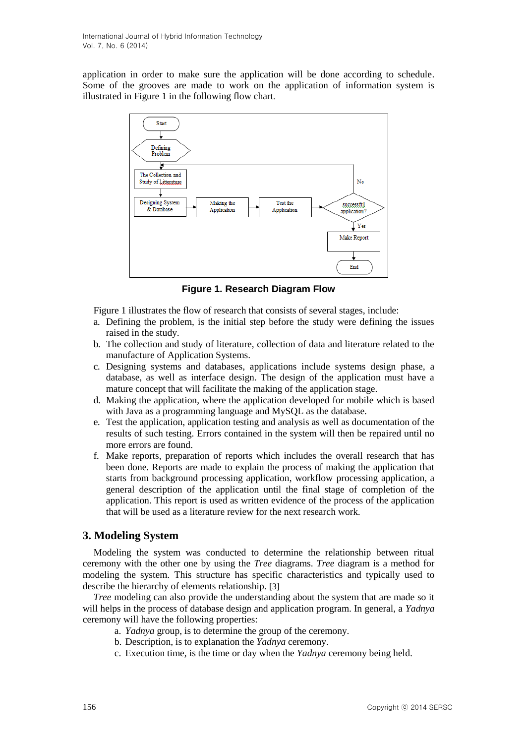application in order to make sure the application will be done according to schedule. Some of the grooves are made to work on the application of information system is illustrated in Figure 1 in the following flow chart.



**Figure 1. Research Diagram Flow**

Figure 1 illustrates the flow of research that consists of several stages, include:

- a. Defining the problem, is the initial step before the study were defining the issues raised in the study.
- b. The collection and study of literature, collection of data and literature related to the manufacture of Application Systems.
- c. Designing systems and databases, applications include systems design phase, a database, as well as interface design. The design of the application must have a mature concept that will facilitate the making of the application stage.
- d. Making the application, where the application developed for mobile which is based with Java as a programming language and MySQL as the database.
- e. Test the application, application testing and analysis as well as documentation of the results of such testing. Errors contained in the system will then be repaired until no more errors are found.
- f. Make reports, preparation of reports which includes the overall research that has been done. Reports are made to explain the process of making the application that starts from background processing application, workflow processing application, a general description of the application until the final stage of completion of the application. This report is used as written evidence of the process of the application that will be used as a literature review for the next research work.

## **3. Modeling System**

Modeling the system was conducted to determine the relationship between ritual ceremony with the other one by using the *Tree* diagrams. *Tree* diagram is a method for modeling the system. This structure has specific characteristics and typically used to describe the hierarchy of elements relationship. [3]

*Tree* modeling can also provide the understanding about the system that are made so it will helps in the process of database design and application program. In general, a *Yadnya* ceremony will have the following properties:

- a. *Yadnya* group, is to determine the group of the ceremony.
- b. Description, is to explanation the *Yadnya* ceremony.
- c. Execution time, is the time or day when the *Yadnya* ceremony being held.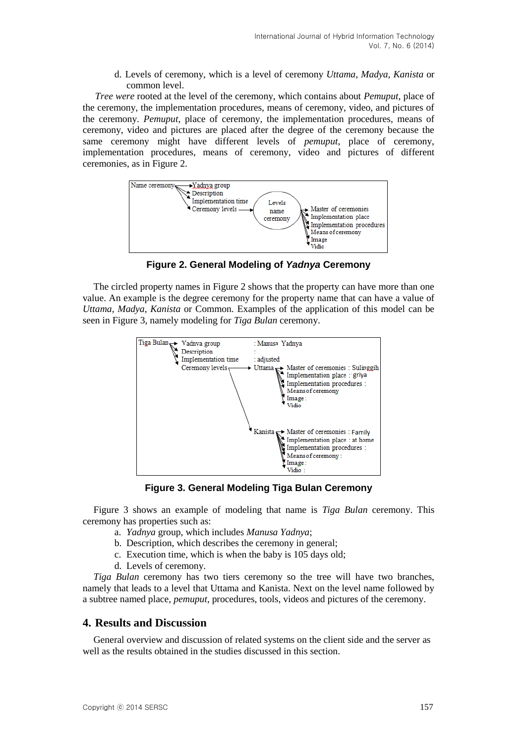d. Levels of ceremony, which is a level of ceremony *Uttama*, *Madya, Kanista* or common level.

*Tree were* rooted at the level of the ceremony, which contains about *Pemuput*, place of the ceremony, the implementation procedures, means of ceremony, video, and pictures of the ceremony. *Pemuput*, place of ceremony, the implementation procedures, means of ceremony, video and pictures are placed after the degree of the ceremony because the same ceremony might have different levels of *pemuput*, place of ceremony, implementation procedures, means of ceremony, video and pictures of different ceremonies, as in Figure 2.



**Figure 2. General Modeling of** *Yadnya* **Ceremony**

The circled property names in Figure 2 shows that the property can have more than one value. An example is the degree ceremony for the property name that can have a value of *Uttama*, *Madya*, *Kanista* or Common. Examples of the application of this model can be seen in Figure 3, namely modeling for *Tiga Bulan* ceremony.



**Figure 3. General Modeling Tiga Bulan Ceremony**

Figure 3 shows an example of modeling that name is *Tiga Bulan* ceremony. This ceremony has properties such as:

- a. *Yadnya* group, which includes *Manusa Yadnya*;
- b. Description, which describes the ceremony in general;
- c. Execution time, which is when the baby is 105 days old;
- d. Levels of ceremony.

*Tiga Bulan* ceremony has two tiers ceremony so the tree will have two branches, namely that leads to a level that Uttama and Kanista. Next on the level name followed by a subtree named place, *pemuput*, procedures, tools, videos and pictures of the ceremony.

## **4. Results and Discussion**

General overview and discussion of related systems on the client side and the server as well as the results obtained in the studies discussed in this section.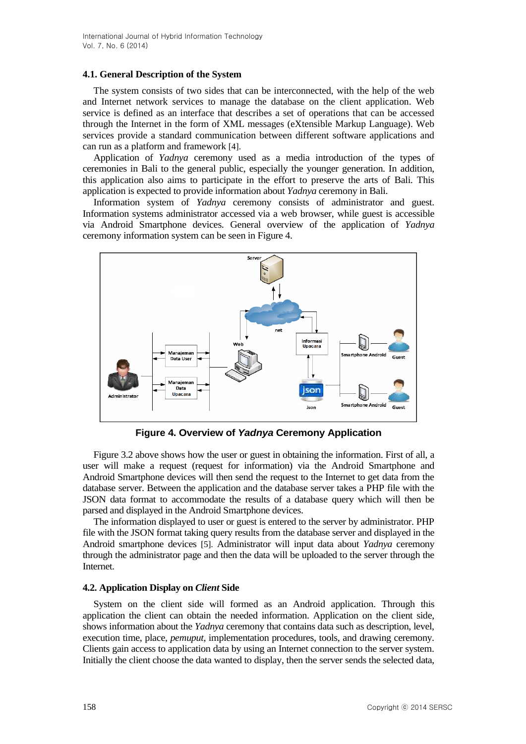#### **4.1. General Description of the System**

The system consists of two sides that can be interconnected, with the help of the web and Internet network services to manage the database on the client application. Web service is defined as an interface that describes a set of operations that can be accessed through the Internet in the form of XML messages (eXtensible Markup Language). Web services provide a standard communication between different software applications and can run as a platform and framework [4].

Application of *Yadnya* ceremony used as a media introduction of the types of ceremonies in Bali to the general public, especially the younger generation. In addition, this application also aims to participate in the effort to preserve the arts of Bali. This application is expected to provide information about *Yadnya* ceremony in Bali.

Information system of *Yadnya* ceremony consists of administrator and guest. Information systems administrator accessed via a web browser, while guest is accessible via Android Smartphone devices. General overview of the application of *Yadnya* ceremony information system can be seen in Figure 4.



**Figure 4. Overview of** *Yadnya* **Ceremony Application**

Figure 3.2 above shows how the user or guest in obtaining the information. First of all, a user will make a request (request for information) via the Android Smartphone and Android Smartphone devices will then send the request to the Internet to get data from the database server. Between the application and the database server takes a PHP file with the JSON data format to accommodate the results of a database query which will then be parsed and displayed in the Android Smartphone devices.

The information displayed to user or guest is entered to the server by administrator. PHP file with the JSON format taking query results from the database server and displayed in the Android smartphone devices [5]. Administrator will input data about *Yadnya* ceremony through the administrator page and then the data will be uploaded to the server through the Internet.

### **4.2. Application Display on** *Client* **Side**

System on the client side will formed as an Android application. Through this application the client can obtain the needed information. Application on the client side, shows information about the *Yadnya* ceremony that contains data such as description, level, execution time, place, *pemuput*, implementation procedures, tools, and drawing ceremony. Clients gain access to application data by using an Internet connection to the server system. Initially the client choose the data wanted to display, then the server sends the selected data,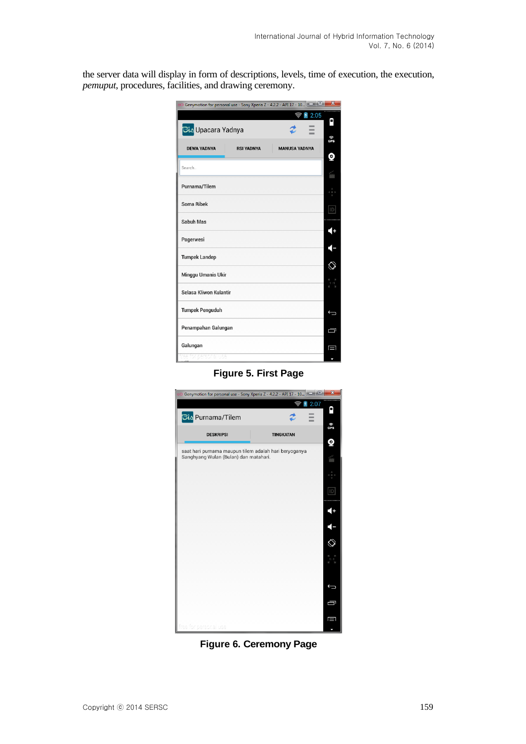the server data will display in form of descriptions, levels, time of execution, the execution, *pemuput*, procedures, facilities, and drawing ceremony.

| oO Genymotion for personal use - Sony Xperia Z - 4.2.2 - API 17 - 10 |                      | $x -$           |
|----------------------------------------------------------------------|----------------------|-----------------|
|                                                                      | 2:05<br>y.           |                 |
| <mark>َانْتَ</mark> Sto <mark>l</mark> Upacara Yadnya                |                      | Α               |
| <b>RSI YADNYA</b><br><b>DEWA YADNYA</b>                              | <b>MANUSA YADNYA</b> | ିନ<br>ପମ୍ପ<br>Q |
| Search                                                               |                      |                 |
| Purnama/Tilem                                                        |                      |                 |
| Soma Ribek                                                           |                      | ID              |
| Sabuh Mas                                                            |                      | 10              |
| Pagerwesi                                                            |                      | 7               |
| <b>Tumpek Landep</b>                                                 |                      |                 |
| Minggu Umanis Ukir                                                   |                      | 耳<br>-1 :       |
| Selasa Kliwon Kulantir                                               |                      |                 |
| <b>Tumpek Penguduh</b>                                               |                      | ⊖               |
| Penampahan Galungan                                                  |                      | Ų               |
| Galungan                                                             |                      | O               |
| personal use                                                         |                      |                 |

**Figure 5. First Page**



**Figure 6. Ceremony Page**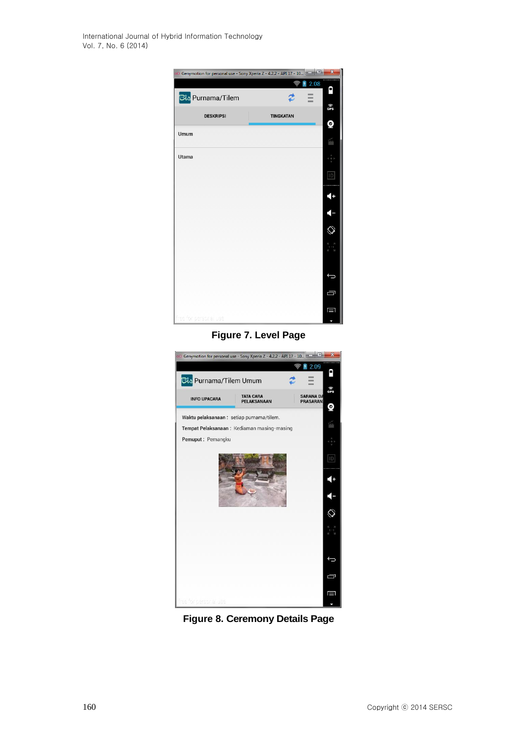International Journal of Hybrid Information Technology Vol. 7, No. 6 (2014)



## **Figure 7. Level Page**



**Figure 8. Ceremony Details Page**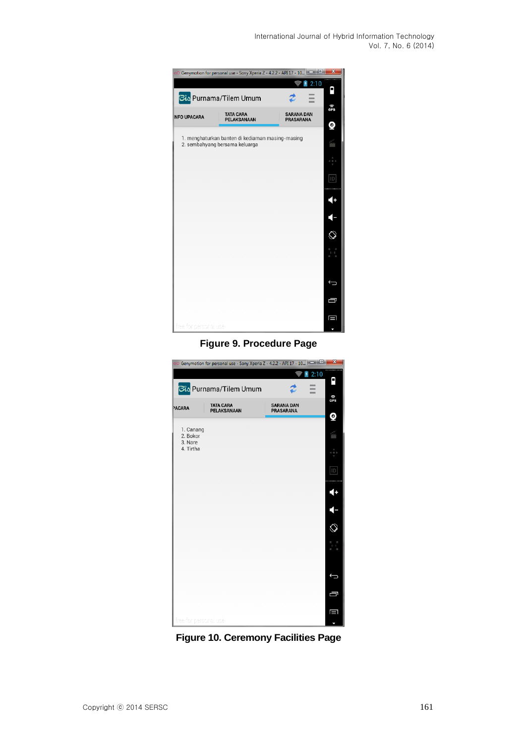International Journal of Hybrid Information Technology Vol. 7, No. 6 (2014)

|                       | O Genymotion for personal use - Sony Xperia Z - 4.2.2 - API 17 - 10                |                   | $\mathbf{x}$ |  |  |  |  |
|-----------------------|------------------------------------------------------------------------------------|-------------------|--------------|--|--|--|--|
|                       | Bis Purnama/Tilem Umum                                                             | 2:10              | ٩            |  |  |  |  |
| <b>NFO UPACARA</b>    | <b>TATA CARA</b>                                                                   | <b>SARANA DAN</b> | ি<br>GPS     |  |  |  |  |
|                       | PELAKSANAAN<br><b>PRASARANA</b>                                                    |                   |              |  |  |  |  |
|                       | 1. menghaturkan banten di kediaman masing-masing<br>2. sembahyang bersama keluarga |                   | Q            |  |  |  |  |
|                       |                                                                                    |                   |              |  |  |  |  |
|                       |                                                                                    |                   | ID           |  |  |  |  |
|                       |                                                                                    |                   | 4+           |  |  |  |  |
|                       |                                                                                    |                   |              |  |  |  |  |
|                       |                                                                                    |                   | Ĉ,           |  |  |  |  |
|                       |                                                                                    |                   |              |  |  |  |  |
|                       |                                                                                    |                   |              |  |  |  |  |
|                       |                                                                                    |                   | Ţ            |  |  |  |  |
|                       |                                                                                    |                   | П            |  |  |  |  |
| free for personal use |                                                                                    |                   |              |  |  |  |  |

**Figure 9. Procedure Page**



**Figure 10. Ceremony Facilities Page**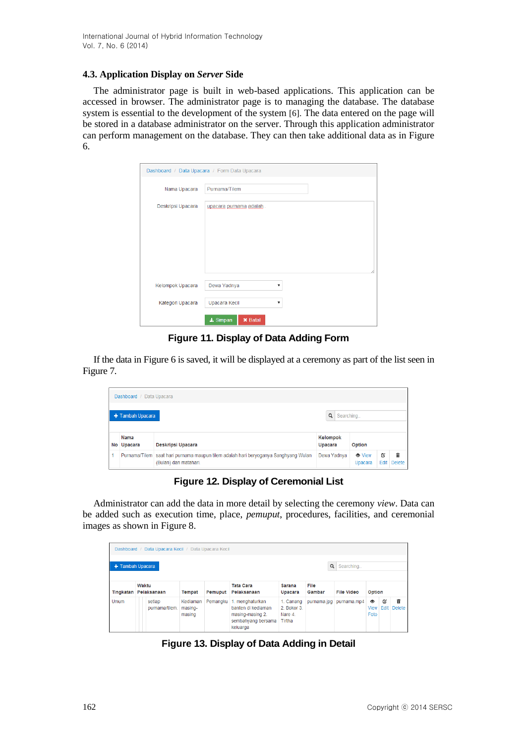#### **4.3. Application Display on** *Server* **Side**

The administrator page is built in web-based applications. This application can be accessed in browser. The administrator page is to managing the database. The database system is essential to the development of the system [6]. The data entered on the page will be stored in a database administrator on the server. Through this application administrator can perform management on the database. They can then take additional data as in Figure 6.

| Dashboard / Data Upacara / Form Data Upacara |                                |  |  |  |  |  |  |  |
|----------------------------------------------|--------------------------------|--|--|--|--|--|--|--|
| Nama Upacara                                 | Purnama/Tilem                  |  |  |  |  |  |  |  |
| Deskripsi Upacara                            | upacara purnama adalah         |  |  |  |  |  |  |  |
|                                              |                                |  |  |  |  |  |  |  |
|                                              |                                |  |  |  |  |  |  |  |
|                                              |                                |  |  |  |  |  |  |  |
|                                              | Λ                              |  |  |  |  |  |  |  |
| Kelompok Upacara                             | Dewa Yadnya<br>▼               |  |  |  |  |  |  |  |
| Kategori Upacara                             | Upacara Kecil<br>7             |  |  |  |  |  |  |  |
|                                              | $\pm$ Simpan<br><b>×</b> Batal |  |  |  |  |  |  |  |

**Figure 11. Display of Data Adding Form**

If the data in Figure 6 is saved, it will be displayed at a ceremony as part of the list seen in Figure 7.

| Dashboard / Data Upacara        |                    |                                                                                                              |                     |                          |           |             |  |  |
|---------------------------------|--------------------|--------------------------------------------------------------------------------------------------------------|---------------------|--------------------------|-----------|-------------|--|--|
| Q Searching<br>+ Tambah Upacara |                    |                                                                                                              |                     |                          |           |             |  |  |
|                                 | Nama<br>No Upacara | Deskripsi Upacara                                                                                            | Kelompok<br>Upacara | Option                   |           |             |  |  |
| и                               |                    | Purnama/Tilem saat hari purnama maupun tilem adalah hari beryoganya Sanghyang Wulan<br>(Bulan) dan matahari. | Dewa Yadnya         | <b>O</b> View<br>Upacara | Ø<br>Edit | Ê<br>Delete |  |  |

**Figure 12. Display of Ceremonial List**

Administrator can add the data in more detail by selecting the ceremony *view*. Data can be added such as execution time, place, *pemuput*, procedures, facilities, and ceremonial images as shown in Figure 8.

| Data Upacara Kecil / Data Upacara Kecil<br>Dashboard / |                      |                          |                               |          |                                                                                             |                                             |                |                   |                                  |           |                    |
|--------------------------------------------------------|----------------------|--------------------------|-------------------------------|----------|---------------------------------------------------------------------------------------------|---------------------------------------------|----------------|-------------------|----------------------------------|-----------|--------------------|
| Q<br>+ Tambah Upacara<br>Searching                     |                      |                          |                               |          |                                                                                             |                                             |                |                   |                                  |           |                    |
| Tingkatan                                              | Waktu<br>Pelaksanaan |                          | <b>Tempat</b>                 | Pemuput  | <b>Tata Cara</b><br>Pelaksanaan                                                             | <b>Sarana</b><br>Upacara                    | File<br>Gambar | <b>File Video</b> | Option                           |           |                    |
| <b>Umum</b>                                            |                      | setiap<br>purnama/tilem. | Kediaman<br>masing-<br>masing | Pemangku | 1. menghaturkan<br>banten di kediaman<br>masing-masing 2.<br>sembahyang bersama<br>keluarga | 1. Canang<br>2 Bokor 3<br>Nare 4.<br>Tirtha | purnama.jpg    | purnama.mp4       | $\bullet$<br><b>View</b><br>Foto | Ø<br>Edit | 侖<br><b>Delete</b> |

**Figure 13. Display of Data Adding in Detail**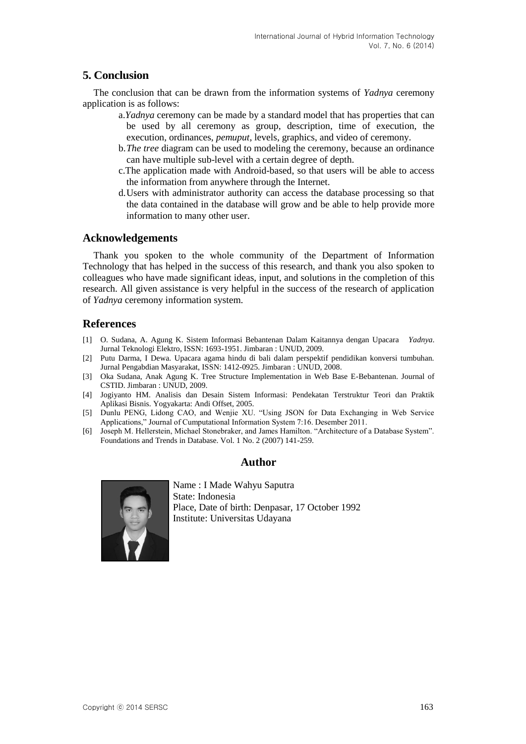# **5. Conclusion**

The conclusion that can be drawn from the information systems of *Yadnya* ceremony application is as follows:

- a.*Yadnya* ceremony can be made by a standard model that has properties that can be used by all ceremony as group, description, time of execution, the execution, ordinances, *pemuput*, levels, graphics, and video of ceremony.
- b.*The tree* diagram can be used to modeling the ceremony, because an ordinance can have multiple sub-level with a certain degree of depth.
- c.The application made with Android-based, so that users will be able to access the information from anywhere through the Internet.
- d.Users with administrator authority can access the database processing so that the data contained in the database will grow and be able to help provide more information to many other user.

### **Acknowledgements**

Thank you spoken to the whole community of the Department of Information Technology that has helped in the success of this research, and thank you also spoken to colleagues who have made significant ideas, input, and solutions in the completion of this research. All given assistance is very helpful in the success of the research of application of *Yadnya* ceremony information system.

### **References**

- [1] O. Sudana, A. Agung K. Sistem Informasi Bebantenan Dalam Kaitannya dengan Upacara *Yadnya*. Jurnal Teknologi Elektro, ISSN: 1693-1951. Jimbaran : UNUD, 2009.
- [2] Putu Darma, I Dewa. Upacara agama hindu di bali dalam perspektif pendidikan konversi tumbuhan. Jurnal Pengabdian Masyarakat, ISSN: 1412-0925. Jimbaran : UNUD, 2008.
- [3] Oka Sudana, Anak Agung K. Tree Structure Implementation in Web Base E-Bebantenan. Journal of CSTID. Jimbaran : UNUD, 2009.
- [4] Jogiyanto HM. Analisis dan Desain Sistem Informasi: Pendekatan Terstruktur Teori dan Praktik Aplikasi Bisnis. Yogyakarta: Andi Offset, 2005.
- [5] Dunlu PENG, Lidong CAO, and Wenjie XU. "Using JSON for Data Exchanging in Web Service Applications," Journal of Cumputational Information System 7:16. Desember 2011.
- [6] Joseph M. Hellerstein, Michael Stonebraker, and James Hamilton. "Architecture of a Database System". Foundations and Trends in Database. Vol. 1 No. 2 (2007) 141-259.

### **Author**



Name : I Made Wahyu Saputra State: Indonesia Place, Date of birth: Denpasar, 17 October 1992 Institute: Universitas Udayana